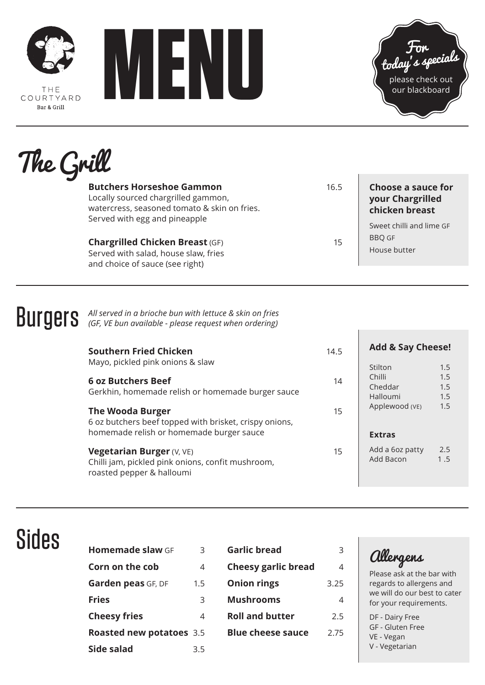

THF COURTYARD Bar & Grill





# The Grill

| <b>Butchers Horseshoe Gammon</b><br>Locally sourced chargrilled gammon,<br>watercress, seasoned tomato & skin on fries. | 16.5 | <b>Choose a sauce for</b><br>your Chargrilled<br>chicken breast |
|-------------------------------------------------------------------------------------------------------------------------|------|-----------------------------------------------------------------|
| Served with egg and pineapple<br><b>Chargrilled Chicken Breast (GF)</b>                                                 | 15   | Sweet chilli and lime GF<br><b>BBO GF</b>                       |
| Served with salad, house slaw, fries<br>and choice of sauce (see right)                                                 |      | House butter                                                    |

## **BUIGETS** All served in a brioche bun with lettuce & skin on fries **BUIGETS** (GF, VE bun available - please request when ordering)

| <b>Southern Fried Chicken</b>                                                                                      | 14.5 | <b>Add &amp; Say Cheese!</b>        |                   |  |
|--------------------------------------------------------------------------------------------------------------------|------|-------------------------------------|-------------------|--|
| Mayo, pickled pink onions & slaw                                                                                   |      | Stilton                             | 1.5               |  |
| <b>6 oz Butchers Beef</b><br>Gerkhin, homemade relish or homemade burger sauce                                     | 14   | Chilli<br>Cheddar<br>Halloumi       | 1.5<br>1.5<br>1.5 |  |
| <b>The Wooda Burger</b><br>6 oz butchers beef topped with brisket, crispy onions,                                  | 15   | Applewood (VE)                      | 1.5               |  |
| homemade relish or homemade burger sauce                                                                           |      | <b>Extras</b>                       |                   |  |
| <b>Vegetarian Burger (V, VE)</b><br>Chilli jam, pickled pink onions, confit mushroom,<br>roasted pepper & halloumi | 15   | Add a 6oz patty<br><b>Add Bacon</b> | 2.5<br>1.5        |  |

#### Sides

| Homemade slaw GF                | 3   | <b>Garlic bread</b>        | 3              | Ш             |
|---------------------------------|-----|----------------------------|----------------|---------------|
| Corn on the cob                 | 4   | <b>Cheesy garlic bread</b> | $\overline{4}$ | Plea          |
| Garden peas GF, DF              | 1.5 | <b>Onion rings</b>         | 3.25           | rega          |
| <b>Fries</b>                    | 3   | <b>Mushrooms</b>           | 4              | we v<br>for y |
| <b>Cheesy fries</b>             | 4   | <b>Roll and butter</b>     | 2.5            | DF-           |
| <b>Roasted new potatoes</b> 3.5 |     | <b>Blue cheese sauce</b>   | 2.75           | GF-<br>$VE -$ |
| Side salad                      | 3.5 |                            |                | $V - V$       |
|                                 |     |                            |                |               |

Allergens

 $\mathbf{L}$ 

 $\overline{1}$ 

Ise ask at the bar with ards to allergens and will do our best to cater your requirements.

Dairy Free Gluten Free Vegan / egetarian